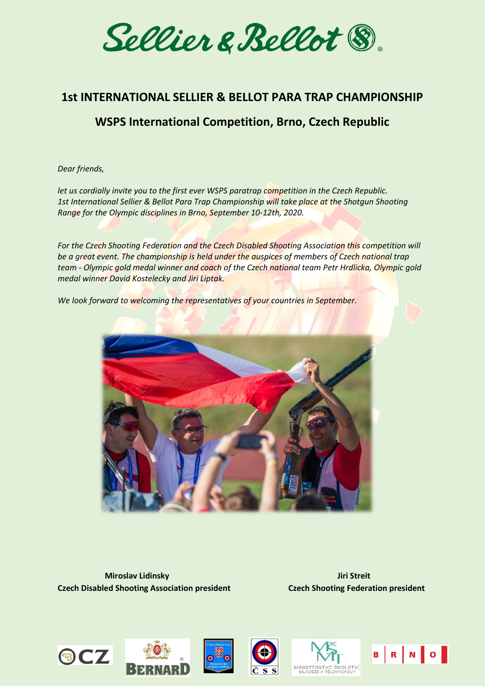Sellier & Bellot ®

## **1st INTERNATIONAL SELLIER & BELLOT PARA TRAP CHAMPIONSHIP**

# **WSPS International Competition, Brno, Czech Republic**

*Dear friends,*

*let us cordially invite you to the first ever WSPS paratrap competition in the Czech Republic. 1st International Sellier & Bellot Para Trap Championship will take place at the Shotgun Shooting Range for the Olympic disciplines in Brno, September 10-12th, 2020.*

*For the Czech Shooting Federation and the Czech Disabled Shooting Association this competition will be a great event. The championship is held under the auspices of members of Czech national trap team - Olympic gold medal winner and coach of the Czech national team Petr Hrdlicka, Olympic gold medal winner David Kostelecky and Jiri Liptak.*

*We look forward to welcoming the representatives of your countries in September.*



**Miroslav Lidinsky Miroslav Lidinsky Jiri Streit Czech Disabled Shooting Association president Czech Shooting Federation president**









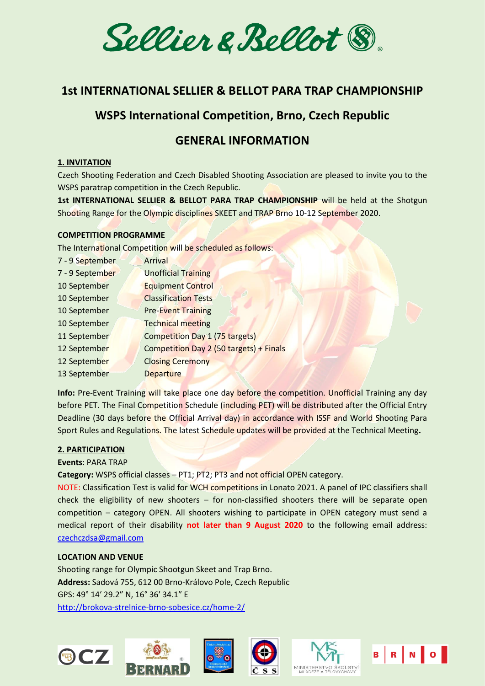Sellier & Bellot ®

## **1st INTERNATIONAL SELLIER & BELLOT PARA TRAP CHAMPIONSHIP**

## **WSPS International Competition, Brno, Czech Republic**

## **GENERAL INFORMATION**

## **1. INVITATION**

Czech Shooting Federation and Czech Disabled Shooting Association are pleased to invite you to the WSPS paratrap competition in the Czech Republic.

**1st INTERNATIONAL SELLIER & BELLOT PARA TRAP CHAMPIONSHIP** will be held at the Shotgun Shooting Range for the Olympic disciplines SKEET and TRAP Brno 10-12 September 2020.

#### **COMPETITION PROGRAMME**

The International Competition will be scheduled as follows:

| 7 - 9 September | Arrival                                 |
|-----------------|-----------------------------------------|
| 7 - 9 September | <b>Unofficial Training</b>              |
| 10 September    | <b>Equipment Control</b>                |
| 10 September    | <b>Classification Tests</b>             |
| 10 September    | <b>Pre-Event Training</b>               |
| 10 September    | <b>Technical meeting</b>                |
| 11 September    | <b>Competition Day 1 (75 targets)</b>   |
| 12 September    | Competition Day 2 (50 targets) + Finals |
| 12 September    | <b>Closing Ceremony</b>                 |
| 13 September    | <b>Departure</b>                        |
|                 |                                         |

**Info:** Pre-Event Training will take place one day before the competition. Unofficial Training any day before PET. The Final Competition Schedule (including PET) will be distributed after the Official Entry Deadline (30 days before the Official Arrival day) in accordance with ISSF and World Shooting Para Sport Rules and Regulations. The latest Schedule updates will be provided at the Technical Meeting**.**

#### **2. PARTICIPATION**

#### **Events**: PARA TRAP

**Category:** WSPS official classes – PT1; PT2; PT3 and not official OPEN category.

NOTE: Classification Test is valid for WCH competitions in Lonato 2021. A panel of IPC classifiers shall check the eligibility of new shooters – for non-classified shooters there will be separate open competition – category OPEN. All shooters wishing to participate in OPEN category must send a medical report of their disability **not later than 9 August 2020** to the following email address: [czechczdsa@gmail.com](mailto:czechczdsa@gmail.com)

## **LOCATION AND VENUE**

**BCZ** 

Shooting range for Olympic Shootgun Skeet and Trap Brno. **Address:** Sadová 755, 612 00 Brno-Královo Pole, Czech Republic GPS: 49° 14′ 29.2″ N, 16° 36′ 34.1″ E <http://brokova-strelnice-brno-sobesice.cz/home-2/>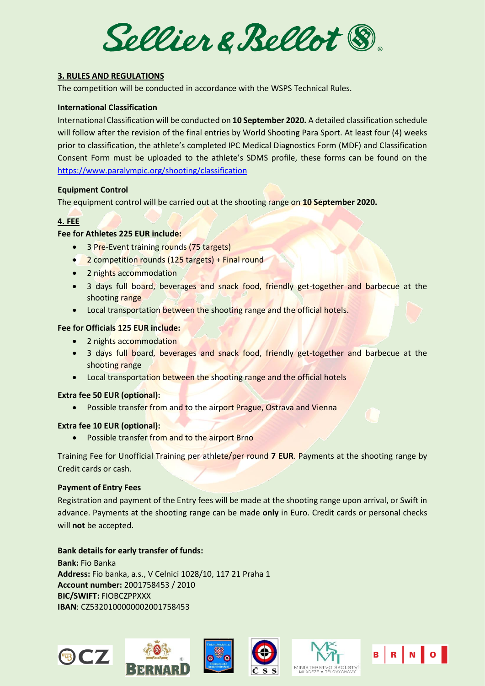Sellier & Bellot ®

## **3. RULES AND REGULATIONS**

The competition will be conducted in accordance with the WSPS Technical Rules.

#### **International Classification**

International Classification will be conducted on **10 September 2020.** A detailed classification schedule will follow after the revision of the final entries by World Shooting Para Sport. At least four (4) weeks prior to classification, the athlete's completed IPC Medical Diagnostics Form (MDF) and Classification Consent Form must be uploaded to the athlete's SDMS profile, these forms can be found on the <https://www.paralympic.org/shooting/classification>

#### **Equipment Control**

The equipment control will be carried out at the shooting range on **10 September 2020.**

## **4. FEE**

## **Fee for Athletes 225 EUR include:**

- 3 Pre-Event training rounds (75 targets)
- 2 competition rounds (125 targets) + Final round
- 2 nights accommodation
- 3 days full board, beverages and snack food, friendly get-together and barbecue at the shooting range
- Local transportation between the shooting range and the official hotels.

## **Fee for Officials 125 EUR include:**

- 2 nights accommodation
- 3 days full board, beverages and snack food, friendly get-together and barbecue at the shooting range
- Local transportation between the shooting range and the official hotels

#### **Extra fee 50 EUR (optional):**

• Possible transfer from and to the airport Prague, Ostrava and Vienna

#### **Extra fee 10 EUR (optional):**

• Possible transfer from and to the airport Brno

Training Fee for Unofficial Training per athlete/per round **7 EUR**. Payments at the shooting range by Credit cards or cash.

#### **Payment of Entry Fees**

Registration and payment of the Entry fees will be made at the shooting range upon arrival, or Swift in advance. Payments at the shooting range can be made **only** in Euro. Credit cards or personal checks will **not** be accepted.

## **Bank details for early transfer of funds:**

**Bank:** Fio Banka **Address:** Fio banka, a.s., V Celnici 1028/10, 117 21 Praha 1 **Account number:** 2001758453 / 2010 **BIC/SWIFT:** FIOBCZPPXXX **IBAN**: CZ5320100000002001758453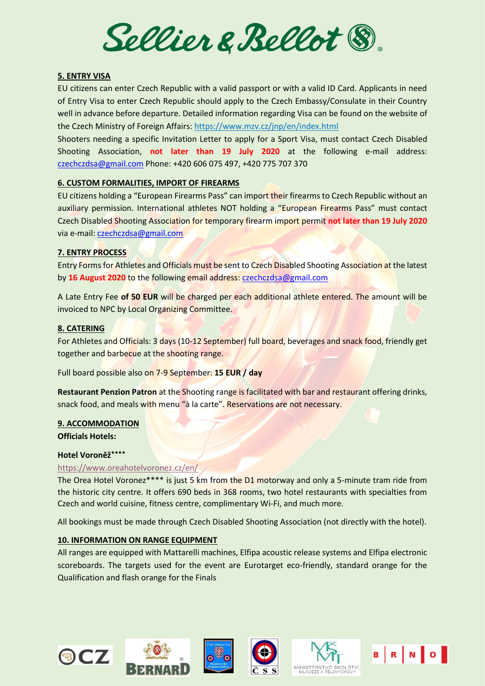Sellier & Bellot ®

## **5. ENTRY VISA**

EU citizens can enter Czech Republic with a valid passport or with a valid ID Card. Applicants in need of Entry Visa to enter Czech Republic should apply to the Czech Embassy/Consulate in their Country well in advance before departure. Detailed information regarding Visa can be found on the website of the Czech Ministry of Foreign Affairs[: https://www.mzv.cz/jnp/en/index.html](https://www.mzv.cz/jnp/en/index.html)

Shooters needing a specific Invitation Letter to apply for a Sport Visa, must contact Czech Disabled Shooting Association, **not later than 19 July 2020** at the following e‐mail address: [czechczdsa@gmail.com](mailto:czechczdsa@gmail.com) Phone: +420 606 075 497, +420 775 707 370

#### **6. CUSTOM FORMALITIES, IMPORT OF FIREARMS**

EU citizens holding a "European Firearms Pass" can import their firearms to Czech Republic without an auxiliary permission. International athletes NOT holding a "European Firearms Pass" must contact Czech Disabled Shooting Association for temporary firearm import permit **not later than 19 July 2020** via e‐mail: [czechczdsa@gmail.com](mailto:czechczdsa@gmail.com)

## **7. ENTRY PROCESS**

Entry Forms for Athletes and Officials must be sent to Czech Disabled Shooting Association at the latest by **16 August 2020** to the following email address: [czechczdsa@gmail.com](mailto:czechczdsa@gmail.com)

A Late Entry Fee **of 50 EUR** will be charged per each additional athlete entered. The amount will be invoiced to NPC by Local Organizing Committee.

#### **8. CATERING**

For Athletes and Officials: 3 days (10-12 September) full board, beverages and snack food, friendly get together and barbecue at the shooting range.

Full board possible also on 7-9 September: **15 EUR / day**

**Restaurant Penzion Patron** at the Shooting range is facilitated with bar and restaurant offering drinks, snack food, and meals with menu "à la carte". Reservations are not necessary.

#### **9. ACCOMMODATION Officials Hotels:**

#### **Hotel Voroněž٭٭٭٭**

#### <https://www.oreahotelvoronez.cz/en/>

The Orea Hotel Voronez\*\*\*\* is just 5 km from the D1 motorway and only a 5-minute tram ride from the historic city centre. It offers 690 beds in 368 rooms, two hotel restaurants with specialties from Czech and world cuisine, fitness centre, complimentary Wi-Fi, and much more.

All bookings must be made through Czech Disabled Shooting Association (not directly with the hotel).

## **10. INFORMATION ON RANGE EQUIPMENT**

All ranges are equipped with Mattarelli machines, Elfipa acoustic release systems and Elfipa electronic scoreboards. The targets used for the event are Eurotarget eco-friendly, standard orange for the Qualification and flash orange for the Finals